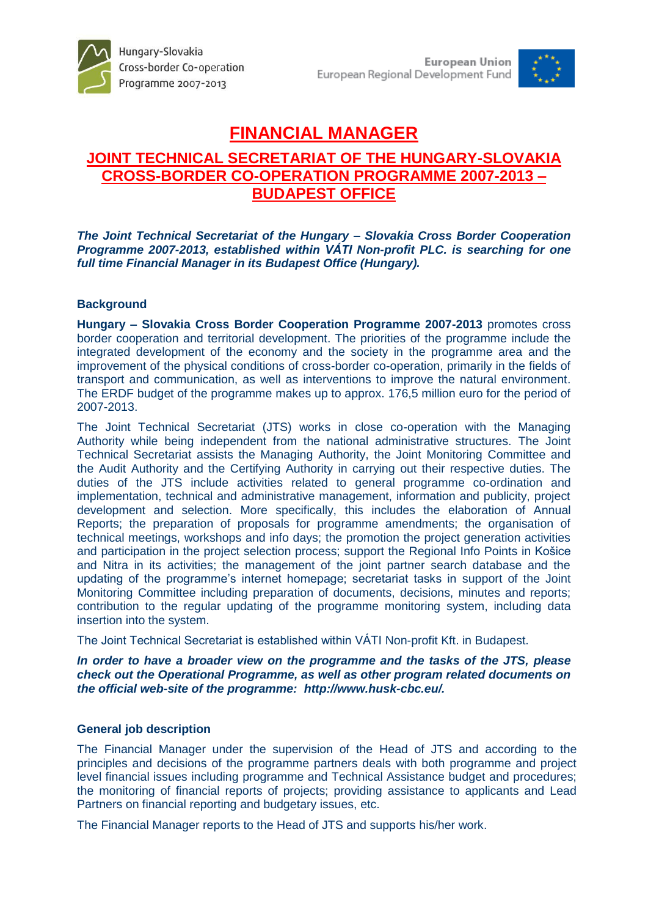

# **FINANCIAL MANAGER**

# **JOINT TECHNICAL SECRETARIAT OF THE HUNGARY-SLOVAKIA CROSS-BORDER CO-OPERATION PROGRAMME 2007-2013 – BUDAPEST OFFICE**

*The Joint Technical Secretariat of the Hungary – Slovakia Cross Border Cooperation Programme 2007-2013, established within VÁTI Non-profit PLC. is searching for one full time Financial Manager in its Budapest Office (Hungary).* 

# **Background**

**Hungary – Slovakia Cross Border Cooperation Programme 2007-2013** promotes cross border cooperation and territorial development. The priorities of the programme include the integrated development of the economy and the society in the programme area and the improvement of the physical conditions of cross-border co-operation, primarily in the fields of transport and communication, as well as interventions to improve the natural environment. The ERDF budget of the programme makes up to approx. 176,5 million euro for the period of 2007-2013.

The Joint Technical Secretariat (JTS) works in close co-operation with the Managing Authority while being independent from the national administrative structures. The Joint Technical Secretariat assists the Managing Authority, the Joint Monitoring Committee and the Audit Authority and the Certifying Authority in carrying out their respective duties. The duties of the JTS include activities related to general programme co-ordination and implementation, technical and administrative management, information and publicity, project development and selection. More specifically, this includes the elaboration of Annual Reports; the preparation of proposals for programme amendments; the organisation of technical meetings, workshops and info days; the promotion the project generation activities and participation in the project selection process; support the Regional Info Points in Košice and Nitra in its activities; the management of the joint partner search database and the updating of the programme's internet homepage; secretariat tasks in support of the Joint Monitoring Committee including preparation of documents, decisions, minutes and reports; contribution to the regular updating of the programme monitoring system, including data insertion into the system.

The Joint Technical Secretariat is established within VÁTI Non-profit Kft. in Budapest.

*In order to have a broader view on the programme and the tasks of the JTS, please check out the Operational Programme, as well as other program related documents on the official web-site of the programme: http://www.husk-cbc.eu/.*

# **General job description**

The Financial Manager under the supervision of the Head of JTS and according to the principles and decisions of the programme partners deals with both programme and project level financial issues including programme and Technical Assistance budget and procedures; the monitoring of financial reports of projects; providing assistance to applicants and Lead Partners on financial reporting and budgetary issues, etc.

The Financial Manager reports to the Head of JTS and supports his/her work.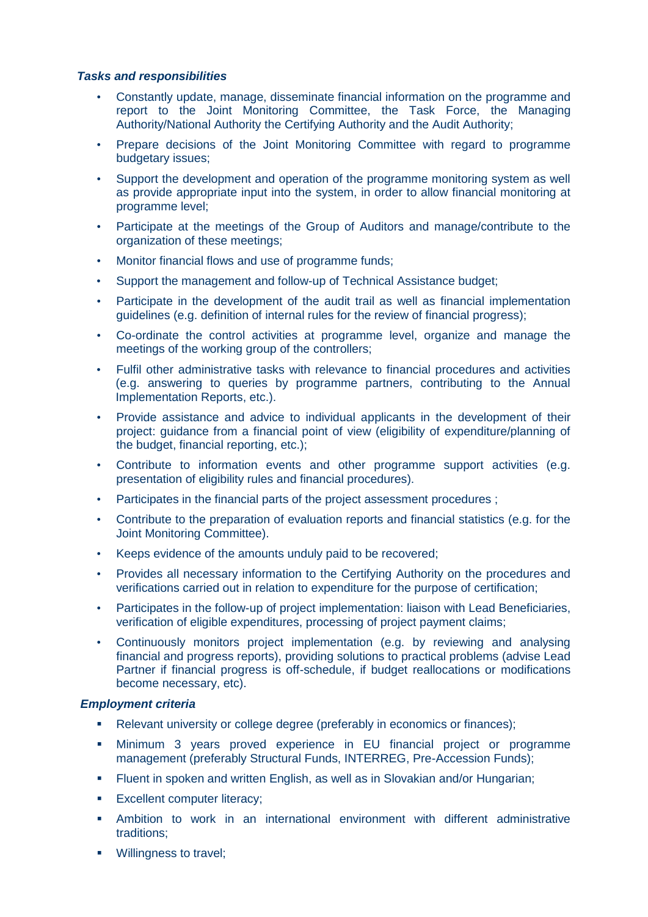### *Tasks and responsibilities*

- Constantly update, manage, disseminate financial information on the programme and report to the Joint Monitoring Committee, the Task Force, the Managing Authority/National Authority the Certifying Authority and the Audit Authority;
- Prepare decisions of the Joint Monitoring Committee with regard to programme budgetary issues;
- Support the development and operation of the programme monitoring system as well as provide appropriate input into the system, in order to allow financial monitoring at programme level;
- Participate at the meetings of the Group of Auditors and manage/contribute to the organization of these meetings;
- Monitor financial flows and use of programme funds;
- Support the management and follow-up of Technical Assistance budget;
- Participate in the development of the audit trail as well as financial implementation guidelines (e.g. definition of internal rules for the review of financial progress);
- Co-ordinate the control activities at programme level, organize and manage the meetings of the working group of the controllers;
- Fulfil other administrative tasks with relevance to financial procedures and activities (e.g. answering to queries by programme partners, contributing to the Annual Implementation Reports, etc.).
- Provide assistance and advice to individual applicants in the development of their project: guidance from a financial point of view (eligibility of expenditure/planning of the budget, financial reporting, etc.);
- Contribute to information events and other programme support activities (e.g. presentation of eligibility rules and financial procedures).
- Participates in the financial parts of the project assessment procedures ;
- Contribute to the preparation of evaluation reports and financial statistics (e.g. for the Joint Monitoring Committee).
- Keeps evidence of the amounts unduly paid to be recovered;
- Provides all necessary information to the Certifying Authority on the procedures and verifications carried out in relation to expenditure for the purpose of certification;
- Participates in the follow-up of project implementation: liaison with Lead Beneficiaries, verification of eligible expenditures, processing of project payment claims;
- Continuously monitors project implementation (e.g. by reviewing and analysing financial and progress reports), providing solutions to practical problems (advise Lead Partner if financial progress is off-schedule, if budget reallocations or modifications become necessary, etc).

#### *Employment criteria*

- Relevant university or college degree (preferably in economics or finances);
- Minimum 3 years proved experience in EU financial project or programme management (preferably Structural Funds, INTERREG, Pre-Accession Funds);
- **Filuent in spoken and written English, as well as in Slovakian and/or Hungarian;**
- **Excellent computer literacy;**
- Ambition to work in an international environment with different administrative traditions;
- **Willingness to travel:**